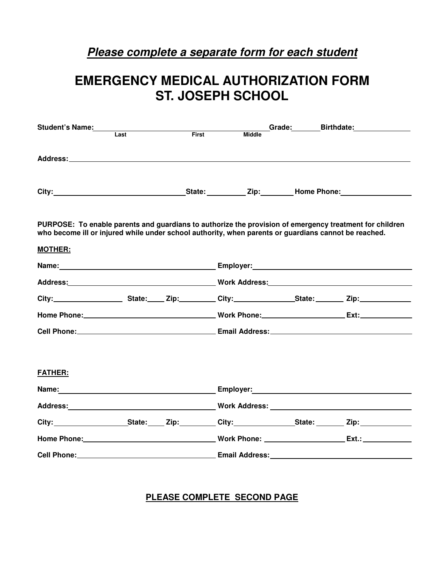## **Please complete a separate form for each student**

# **EMERGENCY MEDICAL AUTHORIZATION FORM ST. JOSEPH SCHOOL**

| Student's Name:                                                                                                        |       |              |               |  | Grade: Birthdate:                                                                                                                                                                                                             |  |
|------------------------------------------------------------------------------------------------------------------------|-------|--------------|---------------|--|-------------------------------------------------------------------------------------------------------------------------------------------------------------------------------------------------------------------------------|--|
|                                                                                                                        | I ast | <b>First</b> | <b>Middle</b> |  |                                                                                                                                                                                                                               |  |
|                                                                                                                        |       |              |               |  |                                                                                                                                                                                                                               |  |
|                                                                                                                        |       |              |               |  |                                                                                                                                                                                                                               |  |
| who become ill or injured while under school authority, when parents or quardians cannot be reached.<br><b>MOTHER:</b> |       |              |               |  | PURPOSE: To enable parents and quardians to authorize the provision of emergency treatment for children                                                                                                                       |  |
|                                                                                                                        |       |              |               |  |                                                                                                                                                                                                                               |  |
|                                                                                                                        |       |              |               |  | Address: North Marian Monte Monte Monte Monte Address: North Marian Monte Monte Monte Monte Monte Monte Monte M                                                                                                               |  |
|                                                                                                                        |       |              |               |  |                                                                                                                                                                                                                               |  |
|                                                                                                                        |       |              |               |  |                                                                                                                                                                                                                               |  |
|                                                                                                                        |       |              |               |  |                                                                                                                                                                                                                               |  |
| FATHER:                                                                                                                |       |              |               |  |                                                                                                                                                                                                                               |  |
|                                                                                                                        |       |              |               |  | Employer: 2008 2012 2022 2023 2024 2022 2023 2024 2022 2023 2024 2022 2023 2024 2022 2023 2024 2022 2023 2024                                                                                                                 |  |
|                                                                                                                        |       |              |               |  |                                                                                                                                                                                                                               |  |
|                                                                                                                        |       |              |               |  |                                                                                                                                                                                                                               |  |
|                                                                                                                        |       |              |               |  | Home Phone: Ext.: Ext.: Ext.: Ext.: Ext.: Ext.: Ext.: Ext.: Ext.: Ext.: Ext.: Ext.: Ext.: Ext.: Ext.: Ext.: Ext.: Ext.: Ext.: Ext.: Ext.: Ext.: Ext.: Ext.: Ext.: Ext.: Ext.: Ext.: Ext.: Ext.: Ext.: Ext.: Ext.: Ext.: Ext.: |  |
|                                                                                                                        |       |              |               |  |                                                                                                                                                                                                                               |  |

**PLEASE COMPLETE SECOND PAGE**